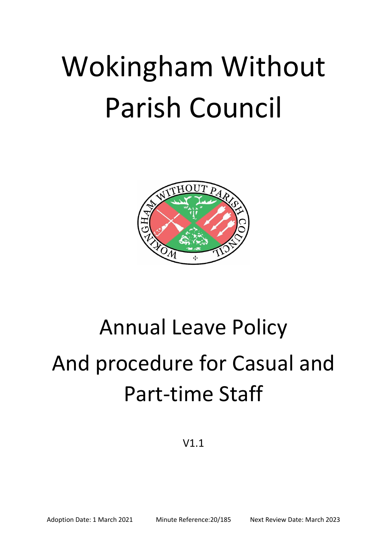# Wokingham Without Parish Council



# Annual Leave Policy And procedure for Casual and Part-time Staff

V1.1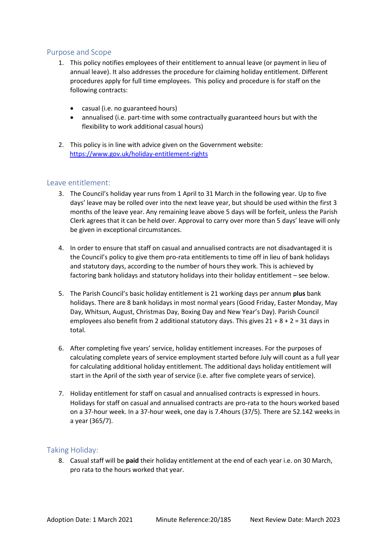#### Purpose and Scope

- 1. This policy notifies employees of their entitlement to annual leave (or payment in lieu of annual leave). It also addresses the procedure for claiming holiday entitlement. Different procedures apply for full time employees. This policy and procedure is for staff on the following contracts:
	- casual (i.e. no guaranteed hours)
	- annualised (i.e. part-time with some contractually guaranteed hours but with the flexibility to work additional casual hours)
- 2. This policy is in line with advice given on the Government website: <https://www.gov.uk/holiday-entitlement-rights>

#### Leave entitlement:

- 3. The Council's holiday year runs from 1 April to 31 March in the following year. Up to five days' leave may be rolled over into the next leave year, but should be used within the first 3 months of the leave year. Any remaining leave above 5 days will be forfeit, unless the Parish Clerk agrees that it can be held over. Approval to carry over more than 5 days' leave will only be given in exceptional circumstances.
- 4. In order to ensure that staff on casual and annualised contracts are not disadvantaged it is the Council's policy to give them pro-rata entitlements to time off in lieu of bank holidays and statutory days, according to the number of hours they work. This is achieved by factoring bank holidays and statutory holidays into their holiday entitlement – see below.
- 5. The Parish Council's basic holiday entitlement is 21 working days per annum **plus** bank holidays. There are 8 bank holidays in most normal years (Good Friday, Easter Monday, May Day, Whitsun, August, Christmas Day, Boxing Day and New Year's Day). Parish Council employees also benefit from 2 additional statutory days. This gives  $21 + 8 + 2 = 31$  days in total.
- 6. After completing five years' service, holiday entitlement increases. For the purposes of calculating complete years of service employment started before July will count as a full year for calculating additional holiday entitlement. The additional days holiday entitlement will start in the April of the sixth year of service (i.e. after five complete years of service).
- 7. Holiday entitlement for staff on casual and annualised contracts is expressed in hours. Holidays for staff on casual and annualised contracts are pro-rata to the hours worked based on a 37-hour week. In a 37-hour week, one day is 7.4hours (37/5). There are 52.142 weeks in a year (365/7).

#### Taking Holiday:

8. Casual staff will be **paid** their holiday entitlement at the end of each year i.e. on 30 March, pro rata to the hours worked that year.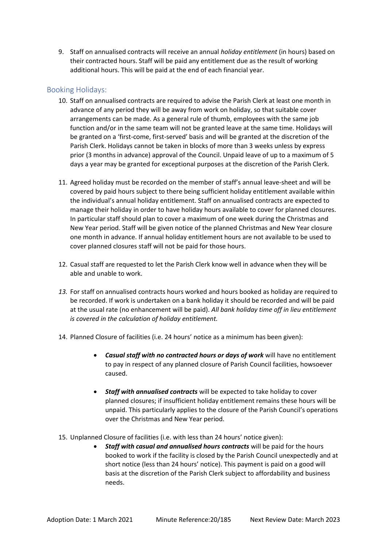9. Staff on annualised contracts will receive an annual *holiday entitlement* (in hours) based on their contracted hours. Staff will be paid any entitlement due as the result of working additional hours. This will be paid at the end of each financial year.

### Booking Holidays:

- 10. Staff on annualised contracts are required to advise the Parish Clerk at least one month in advance of any period they will be away from work on holiday, so that suitable cover arrangements can be made. As a general rule of thumb, employees with the same job function and/or in the same team will not be granted leave at the same time. Holidays will be granted on a 'first-come, first-served' basis and will be granted at the discretion of the Parish Clerk. Holidays cannot be taken in blocks of more than 3 weeks unless by express prior (3 months in advance) approval of the Council. Unpaid leave of up to a maximum of 5 days a year may be granted for exceptional purposes at the discretion of the Parish Clerk.
- 11. Agreed holiday must be recorded on the member of staff's annual leave-sheet and will be covered by paid hours subject to there being sufficient holiday entitlement available within the individual's annual holiday entitlement. Staff on annualised contracts are expected to manage their holiday in order to have holiday hours available to cover for planned closures. In particular staff should plan to cover a maximum of one week during the Christmas and New Year period. Staff will be given notice of the planned Christmas and New Year closure one month in advance. If annual holiday entitlement hours are not available to be used to cover planned closures staff will not be paid for those hours.
- 12. Casual staff are requested to let the Parish Clerk know well in advance when they will be able and unable to work.
- *13.* For staff on annualised contracts hours worked and hours booked as holiday are required to be recorded. If work is undertaken on a bank holiday it should be recorded and will be paid at the usual rate (no enhancement will be paid). *All bank holiday time off in lieu entitlement is covered in the calculation of holiday entitlement.*
- 14. Planned Closure of facilities (i.e. 24 hours' notice as a minimum has been given):
	- *Casual staff with no contracted hours or days of work* will have no entitlement to pay in respect of any planned closure of Parish Council facilities, howsoever caused.
	- *Staff with annualised contracts* will be expected to take holiday to cover planned closures; if insufficient holiday entitlement remains these hours will be unpaid. This particularly applies to the closure of the Parish Council's operations over the Christmas and New Year period.
- 15. Unplanned Closure of facilities (i.e. with less than 24 hours' notice given):
	- *Staff with casual and annualised hours contracts* will be paid for the hours booked to work if the facility is closed by the Parish Council unexpectedly and at short notice (less than 24 hours' notice). This payment is paid on a good will basis at the discretion of the Parish Clerk subject to affordability and business needs.